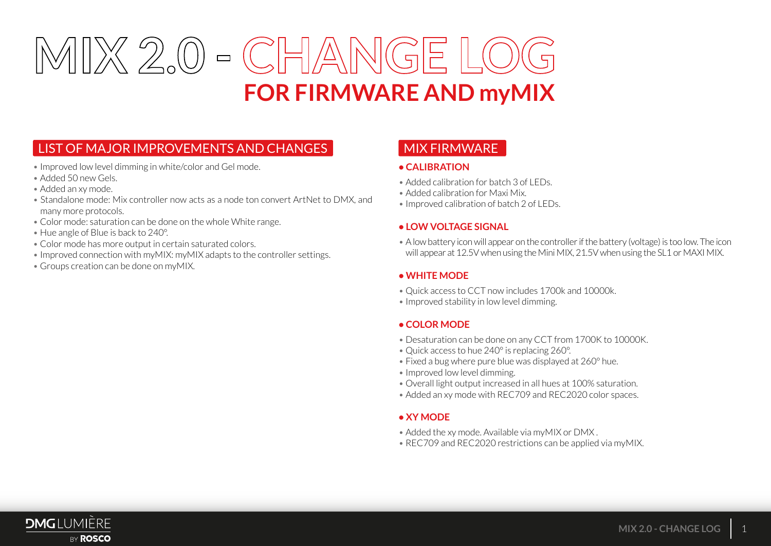

# LIST OF MAJOR IMPROVEMENTS AND CHANGES

- Improved low level dimming in white/color and Gel mode.
- Added 50 new Gels.
- Added an xy mode.
- Standalone mode: Mix controller now acts as a node ton convert ArtNet to DMX, and many more protocols.
- Color mode: saturation can be done on the whole White range.
- Hue angle of Blue is back to 240°.
- Color mode has more output in certain saturated colors.
- Improved connection with myMIX: myMIX adapts to the controller settings.
- Groups creation can be done on myMIX.

# MIX FIRMWARE

#### **• CALIBRATION**

- Added calibration for batch  $3$  of LEDs.
- Added calibration for Maxi Mix.
- Improved calibration of batch 2 of LEDs.

#### **• LOW VOLTAGE SIGNAL**

• A low battery icon will appear on the controller if the battery (voltage) is too low. The icon will appear at 12.5V when using the Mini MIX, 21.5V when using the SL1 or MAXI MIX.

#### **• WHITE MODE**

- Quick access to CCT now includes 1700k and 10000k.
- Improved stability in low level dimming.

#### **• COLOR MODE**

- Desaturation can be done on any CCT from 1700K to 10000K.
- Quick access to hue 240° is replacing 260°.
- Fixed a bug where pure blue was displayed at 260° hue.
- Improved low level dimming.
- Overall light output increased in all hues at 100% saturation.
- Added an xy mode with REC709 and REC2020 color spaces.

### **• XY MODE**

- Added the xy mode. Available via myMIX or DMX .
- REC709 and REC2020 restrictions can be applied via myMIX.